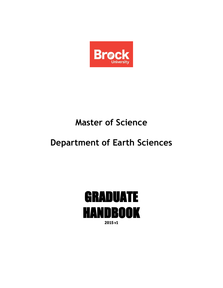

# **Master of Science**

# **Department of Earth Sciences**

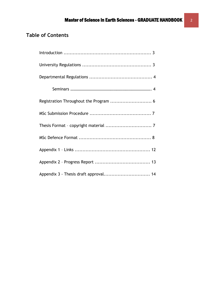## **Table of Contents**

| Appendix 3 - Thesis draft approval 14 |
|---------------------------------------|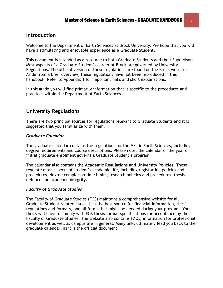## **Introduction**

Welcome to the Department of Earth Sciences at Brock University. We hope that you will have a stimulating and enjoyable experience as a Graduate Student.

This document is intended as a resource to both Graduate Students and their Supervisors. Most aspects of a Graduate Student's career at Brock are governed by University Regulations. The official version of these regulations are found on the Brock website. Aside from a brief overview, these regulations have not been reproduced in this handbook. Refer to Appendix 1 for important links and short explanations.

In this guide you will find primarily information that is specific to the procedures and practices within the Department of Earth Sciences.

## **University Regulations**

There are two principal sources for regulations relevant to Graduate Students and it is suggested that you familiarize with them.

## *Graduate Calendar*

The graduate calendar contains the regulations for the MSc in Earth Sciences, including degree requirements and course descriptions. Please note: the calendar of the year of initial graduate enrolment governs a Graduate Student's program.

The calendar also contains the **Academic Regulations and University Policies**. These regulate most aspects of student's academic life, including registration policies and procedures, degree completion time limits, research policies and procedures, thesis defence and academic integrity.

## *Faculty of Graduate Studies*

The Faculty of Graduate Studies (FGS) maintains a comprehensive website for all Graduate Student related issues. It is the best source for financial information, thesis regulations and formats, and all forms that might be needed during your program. Your thesis will have to comply with FGS thesis format specifications for acceptance by the Faculty of Graduate Studies. The website also contains FAQs, information for professional development as well as campus life in general. Many links ultimately lead you back to the graduate calendar, as it is the official document.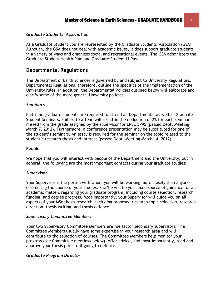#### *Graduate Students' Association*

As a Graduate Student you are represented by the Graduate Students' Association (GSA). Although, the GSA does not deal with academic issues, it does support graduate students in a variety of ways and organizes social and recreational events. The GSA administers the Graduate Student Health Plan and Graduate Student U-Pass.

## **Departmental Regulations**

The Department of Earth Sciences is governed by and subject to University Regulations. Departmental Regulations, therefore, outline the specifics of the implementation of the University rules. In addition, the Departmental Policies outlined below will elaborate and clarify some of the more general University policies.

#### *Seminars*

Full-time graduate students are required to attend all Departmental as well as Graduate Student Seminars. Failure to attend will result in the deduction of 2% for each seminar missed from the grade assigned by the supervisor for ERSC 5P95 (passed Dept. Meeting March 7, 2012). Furthermore, a conference presentation may be substituted for one of the student's seminars. An essay is required for the seminar on the topic related to the student's research thesis and interest (passed Dept. Meeting March 14, 2012).

#### **People**

We hope that you will interact with people of the Department and the University, but in general, the following are the most important contacts during your graduate studies:

#### *Supervisor*

Your Supervisor is the person with whom you will be working more closely than anyone else during the course of your studies. She/he will be your main source of guidance for all academic matters regarding your graduate program, including course selection, research funding, and degree progress. Most importantly, your Supervisor will guide you on all aspects of your MSc thesis research, including proposed research topic selection, research direction, thesis writing, and thesis defence.

#### *Supervisory Committee Members*

Your two Supervisory Committee Members are 'de facto' secondary supervisors. The Committee Members usually have some expertise in your research area and will contribute to the selection of courses. The Committee Members help monitor your progress (see Committee meetings below), offer advice, and most importantly, read and approve your thesis prior to it going to defence.

#### *Graduate Program Director*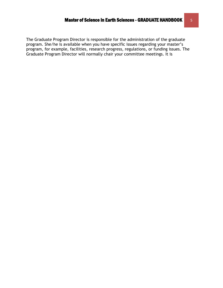The Graduate Program Director is responsible for the administration of the graduate program. She/he is available when you have specific issues regarding your master's program, for example, facilities, research progress, regulations, or funding issues. The Graduate Program Director will normally chair your committee meetings. It is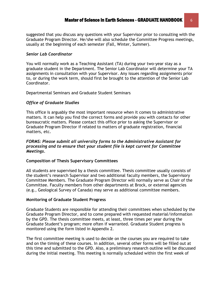suggested that you discuss any questions with your Supervisor prior to consulting with the Graduate Program Director. He/she will also schedule the Committee Progress meetings, usually at the beginning of each semester (Fall, Winter, Summer).

#### *Senior Lab Coordinator*

You will normally work as a Teaching Assistant (TA) during your two-year stay as a graduate student in the Department. The Senior Lab Coordinator will determine your TA assignments in consultation with your Supervisor. Any issues regarding assignments prior to, or during the work term, should first be brought to the attention of the Senior Lab Coordinator.

Departmental Seminars and Graduate Student Seminars

#### *Office of Graduate Studies*

This office is arguably the most important resource when it comes to administrative matters. It can help you find the correct forms and provide you with contacts for other bureaucratic matters. Please contact this office prior to asking the Supervisor or Graduate Program Director if related to matters of graduate registration, financial matters, etc.

#### *FORMS: Please submit all university forms to the Administrative Assistant for processing and to ensure that your student file is kept current for Committee Meetings.*

#### **Composition of Thesis Supervisory Committees**

All students are supervised by a thesis committee. Thesis committee usually consists of the student's research Supervisor and two additional faculty members, the Supervisory Committee Members. The Graduate Program Director will normally serve as Chair of the Committee. Faculty members from other departments at Brock, or external agencies (e.g., Geological Survey of Canada) may serve as additional committee members.

#### **Monitoring of Graduate Student Progress**

Graduate Students are responsible for attending their committees when scheduled by the Graduate Program Director, and to come prepared with requested material/information by the GPD. The thesis committee meets, at least, three times per year during the Graduate Student's program; more often if warranted. Graduate Student progress is monitored using the form listed in Appendix 2.

The first committee meeting is used to decide on the courses you are required to take and on the timing of these courses. In addition, several other forms will be filled out at this time and submitted to the GPD. Also, a preliminary research outline will be discussed during the initial meeting. This meeting is normally scheduled within the first week of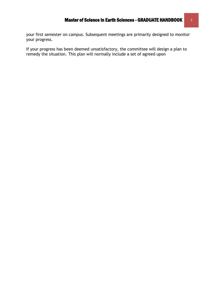your first semester on campus. Subsequent meetings are primarily designed to monitor your progress.

If your progress has been deemed unsatisfactory, the committee will design a plan to remedy the situation. This plan will normally include a set of agreed upon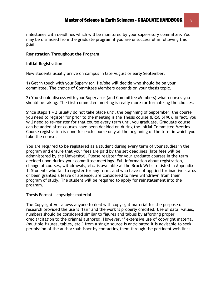milestones with deadlines which will be monitored by your supervisory committee. You may be dismissed from the graduate program if you are unsuccessful in following this plan.

#### **Registration Throughout the Program**

#### **Initial Registration**

New students usually arrive on campus in late August or early September.

1) Get in touch with your Supervisor. He/she will decide who should be on your committee. The choice of Committee Members depends on your thesis topic.

2) You should discuss with your Supervisor (and Committee Members) what courses you should be taking. The first committee meeting is really more for formalizing the choices.

Since steps 1 + 2 usually do not take place until the beginning of September, the course you need to register for prior to the meeting is the Thesis course (ERSC 5F90). In fact, you will need to re-register for that course every term until you graduate. Graduate course can be added after courses have been decided on during the Initial Committee Meeting. Course registration is done for each course only at the beginning of the term in which you take the course.

You are required to be registered as a student during every term of your studies in the program and ensure that your fees are paid by the set deadlines (late fees will be administered by the University). Please register for your graduate courses in the term decided upon during your committee meetings. Full information about registration, change of courses, withdrawals, etc. is available at the Brock Website listed in Appendix 1. Students who fail to register for any term, and who have not applied for inactive status or been granted a leave of absence, are considered to have withdrawn from their program of study. The student will be required to apply for reinstatement into the program.

Thesis Format – copyright material

The Copyright Act allows anyone to deal with copyright material for the purpose of research provided the use is 'fair' and the work is properly credited. Use of data, values, numbers should be considered similar to figures and tables by affording proper credit/citation to the original author(s). However, if extensive use of copyright material (multiple figures, tables, etc.) from a single source is anticipated it is advisable to seek permission of the author/publisher by contacting them through the pertinent web links.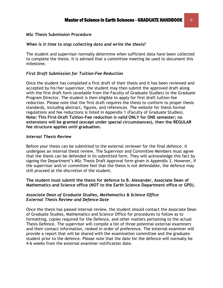#### **MSc Thesis Submission Procedure**

#### *When is it time to stop collecting data and write the thesis?*

The student and supervisor normally determine when sufficient data have been collected to complete the thesis. It is advised that a committee meeting be used to document this milestone.

#### *First Draft Submission for Tuition-Fee Reduction*

Once the student has completed a first draft of their thesis and it has been reviewed and accepted by his/her supervisor, the student may then submit the approved draft along with the first draft form (available from the Faculty of Graduate Studies) to the Graduate Program Director. The student is then eligible to apply for first draft tuition-fee reduction. Please note that the first draft requires the thesis to conform to proper thesis standards, including abstract, figures, and references. The website for thesis format regulations and fee reductions is listed in Appendix 1 (Faculty of Graduate Studies). **Note: This First-Draft Tuition-Fee reduction is valid ONLY for ONE semester; no extensions will be granted (except under special circumstances), then the REGULAR fee structure applies until graduation.**

#### *Internal Thesis Review*

Before your thesis can be submitted to the external reviewer for the final defence, it undergoes an internal thesis review. The Supervisor and Committee Members must agree that the thesis can be defended in its submitted form. They will acknowledge this fact by signing the Department's MSc Thesis Draft Approval form given in Appendix 3. However, if the supervisor and/or committee feel that the thesis is not defendable, the defence may still proceed at the discretion of the student.

**The student must submit the thesis for defence to B. Alexander, Associate Dean of Mathematics and Science office (NOT to the Earth Science Department office or GPD).**

#### *Associate Dean of Graduate Studies, Mathematics & Science Office External Thesis Review and Defence Date*

Once the thesis has passed internal review, the student should contact the Associate Dean of Graduate Studies, Mathematics and Science Office for procedures to follow as to formatting, copies required for the Defence, and other matters pertaining to the actual Thesis Defence. The supervisor will compile a list of three potential external examiners and their contact information, ranked in order of preference. The external examiner will provide a report that will be shared with the examination committee and the graduate student prior to the defence. Please note that the date for the defence will normally be 4-6 weeks from the external examiner notification date.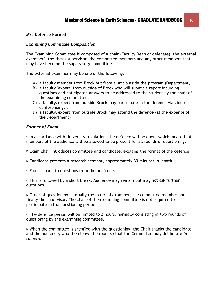#### **MSc Defence Format**

#### *Examining Committee Composition*

The Examining Committee is composed of a chair (Faculty Dean or delegate), the external examiner\*, the thesis supervisor, the committee members and any other members that may have been on the supervisory committee.

The external examiner may be one of the following:

- A) a faculty member from Brock but from a unit outside the program (Department,
- B) a faculty/expert from outside of Brock who will submit a report including questions and anticipated answers to be addressed to the student by the chair of the examining committee,
- C) a faculty/expert from outside Brock may participate in the defence via video conferencing, or
- D) a faculty/expert from outside Brock may attend the defence (at the expense of the Department)

#### *Format of Exam*

 $\overline{p}$  In accordance with University regulations the defence will be open, which means that members of the audience will be allowed to be present for all rounds of questioning.

 $\overline{p}$  Exam chair introduces committee and candidate, explains the format of the defence.

- $\Box$  Candidate presents a research seminar, approximately 30 minutes in length.
- $\overline{p}$  Floor is open to questions from the audience.

 $\overline{p}$  This is followed by a short break. Audience may remain but may not ask further questions.

 $\Box$  Order of questioning is usually the external examiner, the committee member and finally the supervisor. The chair of the examining committee is not required to participate in the questioning period.

 $\overline{p}$  The defence period will be limited to 2 hours, normally consisting of two rounds of questioning by the examining committee.

<sup>In</sup> When the committee is satisfied with the questioning, the Chair thanks the candidate and the audience, who then leave the room so that the Committee may deliberate *in camera.*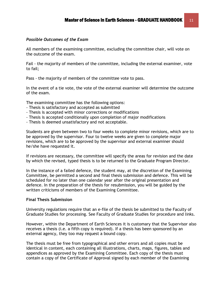#### *Possible Outcomes of the Exam*

All members of the examining committee, excluding the committee chair, will vote on the outcome of the exam.

Fail - the majority of members of the committee, including the external examiner, vote to fail;

Pass - the majority of members of the committee vote to pass.

In the event of a tie vote, the vote of the external examiner will determine the outcome of the exam.

The examining committee has the following options:

- Thesis is satisfactory and accepted as submitted
- Thesis is accepted with minor corrections or modifications
- Thesis is accepted conditionally upon completion of major modifications
- Thesis is deemed unsatisfactory and not acceptable.

Students are given between two to four weeks to complete minor revisions, which are to be approved by the supervisor. Four to twelve weeks are given to complete major revisions, which are to be approved by the supervisor and external examiner should he/she have requested it.

If revisions are necessary, the committee will specify the areas for revision and the date by which the revised, typed thesis is to be returned to the Graduate Program Director.

In the instance of a failed defence, the student may, at the discretion of the Examining Committee, be permitted a second and final thesis submission and defence. This will be scheduled for no later than one calendar year after the original presentation and defence. In the preparation of the thesis for resubmission, you will be guided by the written criticisms of members of the Examining Committee.

#### **Final Thesis Submission**

University regulations require that an e-file of the thesis be submitted to the Faculty of Graduate Studies for processing. See Faculty of Graduate Studies for procedure and links.

However, within the Department of Earth Sciences it is customary that the Supervisor also receives a thesis (i.e. a fifth copy is required). If a thesis has been sponsored by an external agency, they too may request a bound copy.

The thesis must be free from typographical and other errors and all copies must be identical in content, each containing all illustrations, charts, maps, figures, tables and appendices as approved by the Examining Committee. Each copy of the thesis must contain a copy of the Certificate of Approval signed by each member of the Examining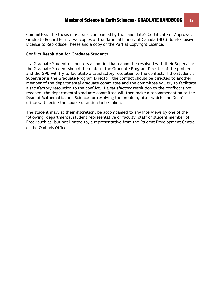Committee. The thesis must be accompanied by the candidate's Certificate of Approval, Graduate Record Form, two copies of the National Library of Canada (NLC) Non-Exclusive License to Reproduce Theses and a copy of the Partial Copyright Licence.

#### **Conflict Resolution for Graduate Students**

If a Graduate Student encounters a conflict that cannot be resolved with their Supervisor, the Graduate Student should then inform the Graduate Program Director of the problem and the GPD will try to facilitate a satisfactory resolution to the conflict. If the student's Supervisor is the Graduate Program Director, the conflict should be directed to another member of the departmental graduate committee and the committee will try to facilitate a satisfactory resolution to the conflict. If a satisfactory resolution to the conflict is not reached, the departmental graduate committee will then make a recommendation to the Dean of Mathematics and Science for resolving the problem, after which, the Dean's office will decide the course of action to be taken.

The student may, at their discretion, be accompanied to any interviews by one of the following: departmental student representative or faculty, staff or student member of Brock such as, but not limited to, a representative from the Student Development Centre or the Ombuds Officer. 1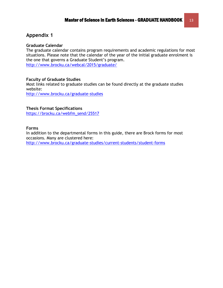## **Appendix 1**

#### **Graduate Calendar**

The graduate calendar contains program requirements and academic regulations for most situations. Please note that the calendar of the year of the initial graduate enrolment is the one that governs a Graduate Student's program. <http://www.brocku.ca/webcal/2015/graduate/>

#### **Faculty of Graduate Studies**

Most links related to graduate studies can be found directly at the graduate studies website:

<http://www.brocku.ca/graduate-studies>

#### **Thesis Format Specifications**

[https://brocku.ca/webfm\\_send/25517](https://brocku.ca/webfm_send/25517)

#### **Forms**

In addition to the departmental forms in this guide, there are Brock forms for most occasions. Many are clustered here:

<http://www.brocku.ca/graduate-studies/current-students/student-forms>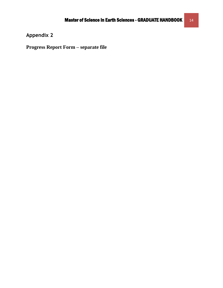**Appendix 2** 

**Progress Report Form – separate file**